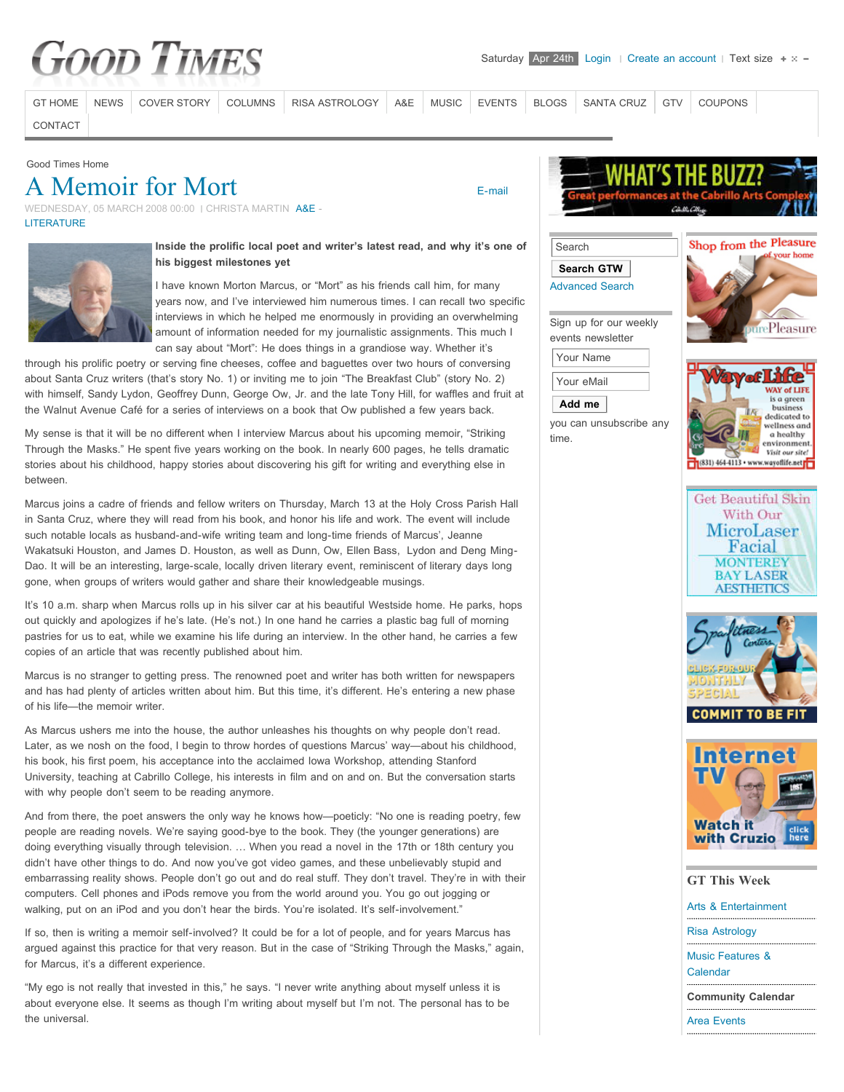# **Good Times**

[GT HOME](http://www.goodtimessantacruz.com/) [NEWS](http://www.goodtimessantacruz.com/santa-cruz-news.html) [COVER STORY](http://www.goodtimessantacruz.com/good-times-cover-stories.html) [COLUMNS](http://www.goodtimessantacruz.com/santa-cruz-columns-commentary-oped.html) [RISA ASTROLOGY](http://www.goodtimessantacruz.com/risa-astrology.html) [A&E](http://www.goodtimessantacruz.com/santa-cruz-arts-entertainment-lifestyles.html) [MUSIC](http://www.goodtimessantacruz.com/santa-cruz-area-music.html) [EVENTS](http://www.goodtimessantacruz.com/santa-cruz-area-events.html) [BLOGS](http://www.goodtimessantacruz.com/santa-cruz-blogs-commentary.html) [SANTA CRUZ](http://www.goodtimessantacruz.com/all-about-santa-cruz-activities-visitors-guide.html) [GTV](http://www.goodtimessantacruz.com/gtv-santa-cruz-videos.html) [COUPONS](http://www.goodtimessantacruz.com/all-about-santa-cruz-activities-visitors-guide/coupons.html)

 [E-mail](http://www.goodtimessantacruz.com/component/mailto/?tmpl=component&link=aHR0cDovL3d3dy5nb29kdGltZXNzYW50YWNydXouY29tL3NhbnRhLWNydXotYXJ0cy1lbnRlcnRhaW5tZW50LWxpZmVzdHlsZXMvbGl0ZXJhdHVyZS1wb2V0cnktYm9vay1yZXZpZXdzLzc5Mi1hLW1lbW9pci1mb3ItbW9ydC5odG1s)

[CONTACT](http://www.goodtimessantacruz.com/santa-cruz-good-times-contacts.html)

Good Times Home

## [A Memoir for Mort](http://www.goodtimessantacruz.com/santa-cruz-arts-entertainment-lifestyles/literature-poetry-book-reviews/792-a-memoir-for-mort.html)

WEDNESDAY, 05 MARCH 2008 00:00 | CHRISTA MARTIN [A&E](http://www.goodtimessantacruz.com/santa-cruz-arts-entertainment.html) -**[LITERATURE](http://www.goodtimessantacruz.com/santa-cruz-arts-entertainment-lifestyles/literature-poetry-book-reviews.html)** 



**Inside the prolific local poet and writer's latest read, and why it's one of his biggest milestones yet**

I have known Morton Marcus, or "Mort" as his friends call him, for many years now, and I've interviewed him numerous times. I can recall two specific interviews in which he helped me enormously in providing an overwhelming amount of information needed for my journalistic assignments. This much I can say about "Mort": He does things in a grandiose way. Whether it's

through his prolific poetry or serving fine cheeses, coffee and baguettes over two hours of conversing about Santa Cruz writers (that's story No. 1) or inviting me to join "The Breakfast Club" (story No. 2) with himself, Sandy Lydon, Geoffrey Dunn, George Ow, Jr. and the late Tony Hill, for waffles and fruit at the Walnut Avenue Café for a series of interviews on a book that Ow published a few years back.

My sense is that it will be no different when I interview Marcus about his upcoming memoir, "Striking Through the Masks." He spent five years working on the book. In nearly 600 pages, he tells dramatic stories about his childhood, happy stories about discovering his gift for writing and everything else in between.

Marcus joins a cadre of friends and fellow writers on Thursday, March 13 at the Holy Cross Parish Hall in Santa Cruz, where they will read from his book, and honor his life and work. The event will include such notable locals as husband-and-wife writing team and long-time friends of Marcus', Jeanne Wakatsuki Houston, and James D. Houston, as well as Dunn, Ow, Ellen Bass, Lydon and Deng Ming-Dao. It will be an interesting, large-scale, locally driven literary event, reminiscent of literary days long gone, when groups of writers would gather and share their knowledgeable musings.

It's 10 a.m. sharp when Marcus rolls up in his silver car at his beautiful Westside home. He parks, hops out quickly and apologizes if he's late. (He's not.) In one hand he carries a plastic bag full of morning pastries for us to eat, while we examine his life during an interview. In the other hand, he carries a few copies of an article that was recently published about him.

Marcus is no stranger to getting press. The renowned poet and writer has both written for newspapers and has had plenty of articles written about him. But this time, it's different. He's entering a new phase of his life—the memoir writer.

As Marcus ushers me into the house, the author unleashes his thoughts on why people don't read. Later, as we nosh on the food, I begin to throw hordes of questions Marcus' way—about his childhood, his book, his first poem, his acceptance into the acclaimed Iowa Workshop, attending Stanford University, teaching at Cabrillo College, his interests in film and on and on. But the conversation starts with why people don't seem to be reading anymore.

And from there, the poet answers the only way he knows how—poeticly: "No one is reading poetry, few people are reading novels. We're saying good-bye to the book. They (the younger generations) are doing everything visually through television. … When you read a novel in the 17th or 18th century you didn't have other things to do. And now you've got video games, and these unbelievably stupid and embarrassing reality shows. People don't go out and do real stuff. They don't travel. They're in with their computers. Cell phones and iPods remove you from the world around you. You go out jogging or walking, put on an iPod and you don't hear the birds. You're isolated. It's self-involvement."

If so, then is writing a memoir self-involved? It could be for a lot of people, and for years Marcus has argued against this practice for that very reason. But in the case of "Striking Through the Masks," again, for Marcus, it's a different experience.

"My ego is not really that invested in this," he says. "I never write anything about myself unless it is about everyone else. It seems as though I'm writing about myself but I'm not. The personal has to be the universal.





Sign up for our weekly events newsletter Your Name Your eMail **Add me**

you can unsubscribe any

time.











| <b>GT This Week</b>                     |
|-----------------------------------------|
| Arts & Entertainment                    |
| <b>Risa Astrology</b>                   |
| <b>Music Features &amp;</b><br>Calendar |
| <b>Community Calendar</b>               |
| <b>Area Events</b>                      |